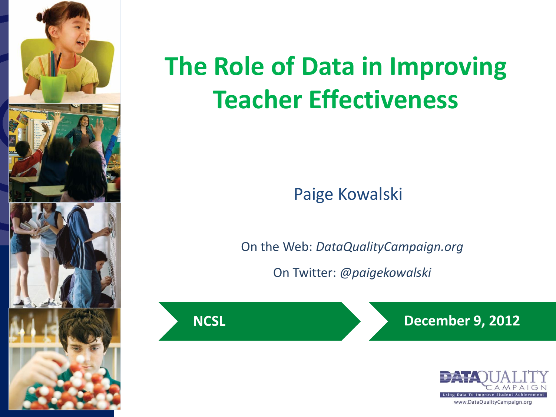

# **The Role of Data in Improving Teacher Effectiveness**

Paige Kowalski

On the Web: *DataQualityCampaign.org*

On Twitter: *@paigekowalski*



**NCSL December 9, 2012** 

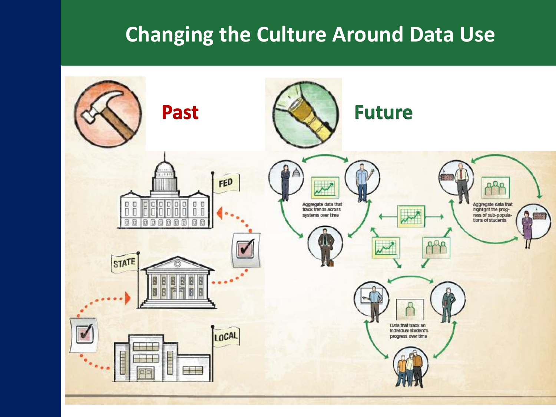### **Changing the Culture Around Data Use**

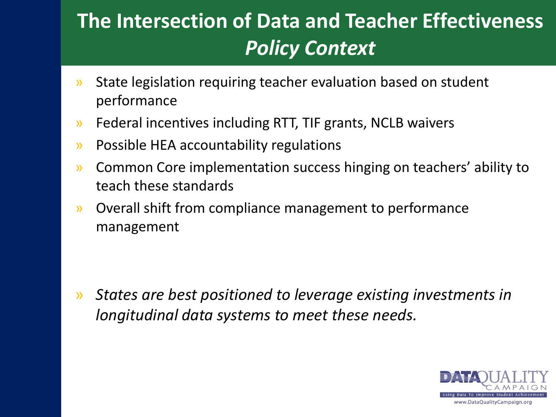### **The Intersection of Data and Teacher Effectiveness** *Policy Context*

- » State legislation requiring teacher evaluation based on student performance
- » Federal incentives including RTT, TIF grants, NCLB waivers
- » Possible HEA accountability regulations
- » Common Core implementation success hinging on teachers' ability to teach these standards
- » Overall shift from compliance management to performance management

» *States are best positioned to leverage existing investments in longitudinal data systems to meet these needs.*

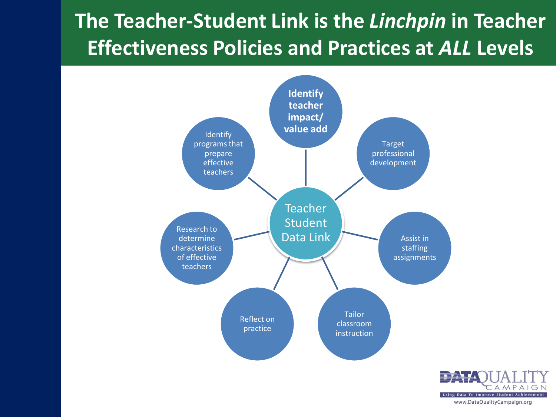### **The Teacher-Student Link is the** *Linchpin* **in Teacher Effectiveness Policies and Practices at** *ALL* **Levels**



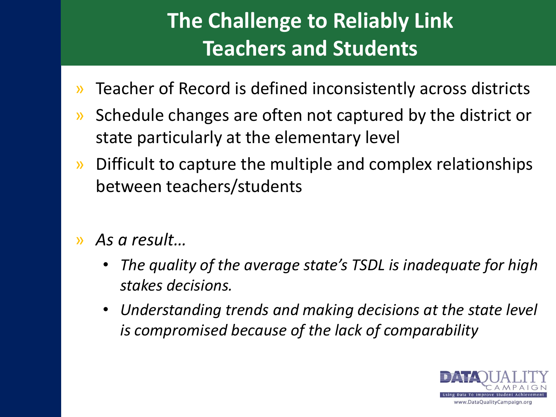### **The Challenge to Reliably Link Teachers and Students**

- » Teacher of Record is defined inconsistently across districts
- » Schedule changes are often not captured by the district or state particularly at the elementary level
- » Difficult to capture the multiple and complex relationships between teachers/students
- » *As a result…*
	- *The quality of the average state's TSDL is inadequate for high stakes decisions.*
	- *Understanding trends and making decisions at the state level is compromised because of the lack of comparability*

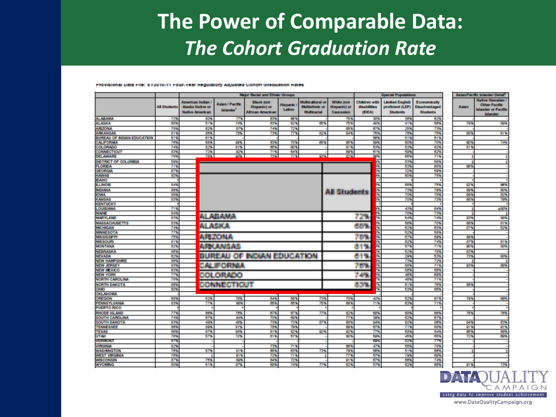### **The Power of Comparable Data:** *The Cohort Graduation Rate*

### Provisional Data File: 812010-11 Four-Year Requisitory Adjusted Conort Graduation Rates

|                                   |                     | <b>Major Recial and Ethnic Groups</b>                                  |                                           |                                                                     |                           |                                                                 |                                                       | <b>Special Populations</b>             |                                                               |                                                         | Asian Pacific Islander Detail <sup>2</sup> |                                                                                            |
|-----------------------------------|---------------------|------------------------------------------------------------------------|-------------------------------------------|---------------------------------------------------------------------|---------------------------|-----------------------------------------------------------------|-------------------------------------------------------|----------------------------------------|---------------------------------------------------------------|---------------------------------------------------------|--------------------------------------------|--------------------------------------------------------------------------------------------|
|                                   | <b>All Students</b> | American Indian /<br><b>Alaska Native or</b><br><b>Native American</b> | <b>Asian / Pacific</b><br><b>Islander</b> | <b>Black (not</b><br><b>Hispanic)</b> or<br><b>African American</b> | <b>Hispanic</b><br>Latino | Multicultural or<br><b>Multiethnic or</b><br><b>Multiracial</b> | <b>White inct</b><br><b>Hispanici or</b><br>Caucasian | Children with<br>disabilities<br>(DEA) | <b>Limited English</b><br>proficient (LEP)<br><b>Students</b> | Economically<br><b>Disadvantaged</b><br><b>Students</b> | <b>Asian</b>                               | <b>Native Hawaiian /</b><br><b>Other Pacific</b><br>Islander or Pacific<br><b>Inlander</b> |
| <b>ALABAMA</b>                    | 72%                 | 80%                                                                    | 77%                                       | 63%                                                                 | 66%                       |                                                                 | 78%                                                   | 30%                                    | 36%                                                           | 62%                                                     |                                            |                                                                                            |
| <b>ALASKA</b>                     | 68%                 | 51%                                                                    | 74%                                       | 63%                                                                 | 62%                       | 65%                                                             | 75%                                                   | 40%                                    | 41%                                                           | 58%                                                     | 79%                                        | 59%                                                                                        |
| <b>ARIZONA</b>                    | 78%                 | 629                                                                    | 87%                                       | 74%                                                                 | 72%                       |                                                                 | 出笔                                                    | 67%                                    | 25%                                                           | 73%                                                     |                                            |                                                                                            |
| <b>ARKANSAS</b>                   | 84%                 | 85%                                                                    | 75%                                       | 73%                                                                 | 77%                       | 62%                                                             | 84%                                                   | 75%                                    | 78%                                                           | 75%                                                     | 80%                                        | 51%                                                                                        |
| <b>BUREAU OF INDIAN EDUCATION</b> | 61%                 | 61%                                                                    |                                           |                                                                     |                           |                                                                 |                                                       | 56%                                    | 51%                                                           | 61%                                                     |                                            |                                                                                            |
| CALIFORNIA                        | 78%                 | 68%                                                                    | 89%                                       | 63%                                                                 | 70%                       | 65%                                                             | 85 Y.                                                 | 59%                                    | 60%                                                           | 70%                                                     | 90%                                        | 74%                                                                                        |
| <b>COLORADO</b>                   | 74%                 | 52%                                                                    | <b>BIS</b>                                | 65%                                                                 | 60%                       |                                                                 | 81%                                                   | 53%                                    | 53%                                                           | 62%                                                     | 84%                                        |                                                                                            |
| CONNECTICUT                       | 83%                 | 72%                                                                    | 92%                                       | 71%                                                                 | 64%                       |                                                                 | 89%                                                   | 61%                                    | 59%                                                           | 62%                                                     |                                            |                                                                                            |
| DELAWARE                          | 78%                 | 78%                                                                    | <b>POWER</b>                              | 73%                                                                 | 71%                       | 93%                                                             | 82%                                                   | 58%                                    | 65%                                                           | 71%                                                     |                                            | ŧ                                                                                          |
| <b>DISTRICT OF COLUMBIA</b>       | 59%                 |                                                                        |                                           |                                                                     |                           |                                                                 |                                                       |                                        | 53%                                                           | 58%                                                     |                                            | ÷                                                                                          |
| <b>FLORIDA</b>                    | 719                 |                                                                        |                                           |                                                                     |                           |                                                                 |                                                       | 즗                                      | 53%                                                           | 60%                                                     | 56%                                        |                                                                                            |
| GEORGIA                           | 679                 |                                                                        |                                           |                                                                     |                           |                                                                 |                                                       | 露                                      | 32%                                                           | 59%                                                     |                                            |                                                                                            |
| <b>HAWAI</b>                      | 80%                 |                                                                        |                                           |                                                                     |                           |                                                                 |                                                       | 云                                      | 60%                                                           | 75%                                                     |                                            |                                                                                            |
| DAHO                              |                     |                                                                        |                                           |                                                                     |                           |                                                                 |                                                       |                                        |                                                               |                                                         |                                            |                                                                                            |
| <b>LLINOIS</b>                    | 84%                 |                                                                        |                                           |                                                                     |                           |                                                                 |                                                       | 霵                                      | 68%                                                           | 75%                                                     | 92%                                        | 98%                                                                                        |
| <b>NDIANA</b>                     | 86%                 |                                                                        |                                           |                                                                     |                           |                                                                 |                                                       |                                        | 73%                                                           | 79%                                                     | 89%                                        | 80%                                                                                        |
| <b>IOWA</b>                       | 88%                 |                                                                        |                                           |                                                                     |                           |                                                                 | All Students                                          | 龗                                      | 70%                                                           | 78%                                                     | 89%                                        | 82%                                                                                        |
| <b>KANSAS</b>                     | 83%                 |                                                                        |                                           |                                                                     |                           |                                                                 |                                                       | 成                                      | 70%                                                           | 73%                                                     | 88%                                        | 79%                                                                                        |
| <b>KENTUCKY</b>                   |                     |                                                                        |                                           |                                                                     |                           |                                                                 |                                                       |                                        |                                                               |                                                         |                                            |                                                                                            |
| LOUISIANA                         | 71%                 |                                                                        |                                           |                                                                     |                           |                                                                 |                                                       | n.                                     | 43%                                                           | 64%                                                     |                                            | 200%                                                                                       |
| <b>MAINE</b>                      | 84%                 |                                                                        |                                           |                                                                     |                           |                                                                 |                                                       |                                        | 78%                                                           | 73%                                                     |                                            |                                                                                            |
| <b>MARYLAND</b>                   | 83%                 |                                                                        | ALABAMA                                   |                                                                     |                           |                                                                 |                                                       | Ā<br>7. S                              | 54%                                                           | 74%                                                     | 93%                                        | 88%                                                                                        |
| <b>MASSACHUSETTS</b>              | 83%                 |                                                                        |                                           |                                                                     |                           |                                                                 |                                                       | 冦                                      | 56%                                                           | 70%                                                     | 88%                                        | 81%                                                                                        |
| <b>MICHIGAN</b>                   | 74%                 |                                                                        | ALASKA                                    |                                                                     |                           |                                                                 |                                                       | Barat I<br>云                           | 62%                                                           | 63%                                                     | 87%                                        | 52%                                                                                        |
| <b>MINNESOTA</b>                  | 77%                 |                                                                        |                                           |                                                                     |                           |                                                                 |                                                       | 露                                      | 52%                                                           | 58%                                                     |                                            |                                                                                            |
| <b>MISSISSIPPI</b>                | 75%                 |                                                                        | ARTONA                                    |                                                                     |                           |                                                                 |                                                       | 露<br>74 G.                             | 67%                                                           | 69%                                                     | 89%                                        |                                                                                            |
| <b>MISSOURI</b>                   | 84%                 |                                                                        |                                           |                                                                     |                           |                                                                 |                                                       | m.                                     | 62%                                                           | 74%                                                     | 87%                                        | 81%                                                                                        |
| <b>MONTANA</b>                    | 82%                 |                                                                        | APOLISAS                                  |                                                                     |                           |                                                                 |                                                       | z.<br>819                              | 57%                                                           | 71%                                                     | 90%                                        | 50%                                                                                        |
| NEBRASKA                          | 86%                 |                                                                        |                                           |                                                                     |                           |                                                                 |                                                       | m.                                     | 52%                                                           | 78%                                                     | 83%                                        |                                                                                            |
| <b>NEVADA</b>                     | 62%                 |                                                                        |                                           | <b>BUREAU OF INDIAN EDUCATION</b>                                   |                           |                                                                 |                                                       | m.                                     | 29%                                                           | 53%                                                     |                                            | 73%<br>80%                                                                                 |
| <b>NEW HAMPSHIRE</b>              | 86%                 |                                                                        |                                           |                                                                     |                           |                                                                 |                                                       | 619                                    | 73%                                                           | 72%                                                     |                                            | ±                                                                                          |
| <b>NEW JERSEY</b>                 | 83%                 |                                                                        |                                           |                                                                     |                           |                                                                 |                                                       | 쯢                                      | 68%                                                           | 71%                                                     | 93%                                        | <b>BOW</b>                                                                                 |
| <b>NEW MEXICO</b>                 | 63%                 |                                                                        | CALIFORNIA                                |                                                                     |                           |                                                                 |                                                       | 753<br>×.                              | 58%                                                           | 58%                                                     |                                            |                                                                                            |
| <b>NEW YORK</b>                   | 77%                 |                                                                        |                                           |                                                                     |                           |                                                                 |                                                       |                                        | 46%                                                           | 69%                                                     |                                            |                                                                                            |
| NORTH CAROLINA                    | 78%                 |                                                                        | COLOREDO                                  |                                                                     |                           |                                                                 |                                                       | 749                                    | 48%                                                           | 71%                                                     |                                            |                                                                                            |
| <b>NORTH DAKOTA</b>               | 86%                 |                                                                        |                                           |                                                                     |                           |                                                                 |                                                       |                                        | 61%                                                           | 76%                                                     | 58%                                        |                                                                                            |
| <b>OHIO</b>                       | 80%                 |                                                                        | COMMUNICATION                             |                                                                     |                           |                                                                 |                                                       | 装置的<br>k bije                          | 53%                                                           | 65%                                                     |                                            |                                                                                            |
|                                   |                     |                                                                        |                                           |                                                                     |                           |                                                                 |                                                       |                                        |                                                               |                                                         |                                            |                                                                                            |
| OKLAHOMA<br>OREGON                |                     |                                                                        |                                           |                                                                     |                           |                                                                 |                                                       |                                        |                                                               |                                                         |                                            |                                                                                            |
|                                   | 68%                 | 52%                                                                    | 78%                                       | 54%                                                                 | 58%                       | 73%                                                             | 70%                                                   | 42%                                    | 52%                                                           | 61%                                                     | 79%                                        | 69%                                                                                        |
| <b>PENNSYLVANIA</b>               | 83%                 | 77%                                                                    | 55%                                       | 65%                                                                 | 65%                       | 75%                                                             | <b>BB%</b>                                            | 71%                                    | 63%                                                           | 71%                                                     |                                            |                                                                                            |
| <b>PUERTO RICO</b>                |                     |                                                                        |                                           |                                                                     |                           |                                                                 |                                                       |                                        |                                                               |                                                         |                                            |                                                                                            |
| RHODE ISLAND                      | 77%                 | 66%                                                                    | 75%                                       | 67%                                                                 | 67%                       | 77%                                                             | 82%                                                   | 50%                                    | 68%                                                           | 66%                                                     | 75%                                        | 76%                                                                                        |
| <b>SOUTH CAROLINA</b>             | 74%                 | 67%                                                                    | <b>BIS</b>                                | 70%                                                                 | 69%                       |                                                                 | 77%                                                   | 39%                                    | 62%                                                           | 67%                                                     |                                            |                                                                                            |
| <b>SOUTH DAKOTA</b>               | 83%                 | 49%                                                                    | 45%                                       | 73%                                                                 | 73%                       | 87%                                                             | 88%                                                   | 84%                                    | 82%                                                           | 88%                                                     | 84%                                        | 63%                                                                                        |
| <b>TENNESSEE</b>                  | 86%                 | 89%                                                                    | <b>STS</b>                                | 78%                                                                 | 79%                       |                                                                 | 89%                                                   | 67%                                    | 71%                                                           | 80%                                                     | 91%                                        | 91%                                                                                        |
| <b>TEXAS</b>                      | 86%                 | 87%                                                                    | 95%                                       | 81%                                                                 | 82%                       | 92%                                                             | 92%                                                   | TT <sup>o</sup>                        | 58%                                                           | 84%                                                     | 25%                                        | 88%                                                                                        |
| <b>UTAH</b>                       | 76%                 | 57%                                                                    | 72%                                       | 61%                                                                 | 57%                       |                                                                 | 80%                                                   | 59%                                    | 45%                                                           | 65%                                                     | 72%                                        | 69%                                                                                        |
| VERMONT                           | 879                 |                                                                        |                                           |                                                                     |                           |                                                                 |                                                       | <b>Bank</b>                            | 829                                                           | 779                                                     |                                            |                                                                                            |
| VIRGINIA                          | 82%                 |                                                                        |                                           | 73%                                                                 | 71%                       |                                                                 | 88%                                                   | 47%                                    | 55%                                                           | 70%                                                     |                                            |                                                                                            |
| <b><i>WASHINGTON</i></b>          | 76%                 | 57%                                                                    | 81%                                       | 65%                                                                 | 63%                       | 73%                                                             | 79%                                                   | 50%                                    | 51%                                                           | 66%                                                     |                                            | ÷                                                                                          |
| <b>WEST VIRGINIA</b>              | 78%                 |                                                                        | 91%                                       | 72%                                                                 | 71%                       |                                                                 | 77%                                                   | 57%                                    | 79%                                                           | 68%                                                     |                                            |                                                                                            |
| <b>WISCONSIN</b>                  | 87%                 | 75%                                                                    | 89%                                       | 64%                                                                 | 72%                       |                                                                 | 91%                                                   | 67%                                    | 66%                                                           | 74%                                                     |                                            |                                                                                            |
| <b>WYOMING</b>                    | 80%                 | 51%                                                                    | 87%                                       | 58%                                                                 | 74%                       | 77%                                                             | 82%                                                   | 57%                                    | 62%                                                           | 66%                                                     | 91%                                        | 73%                                                                                        |



www.DataQualityCampaign.org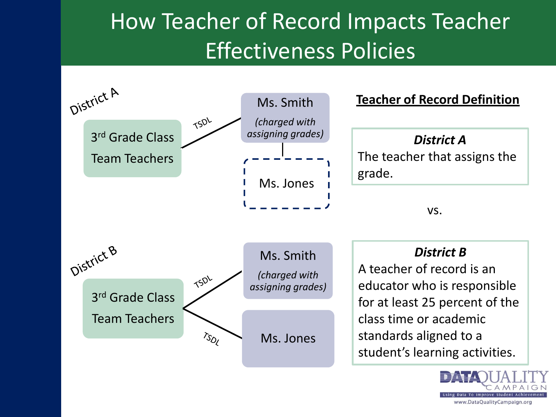## How Teacher of Record Impacts Teacher Effectiveness Policies



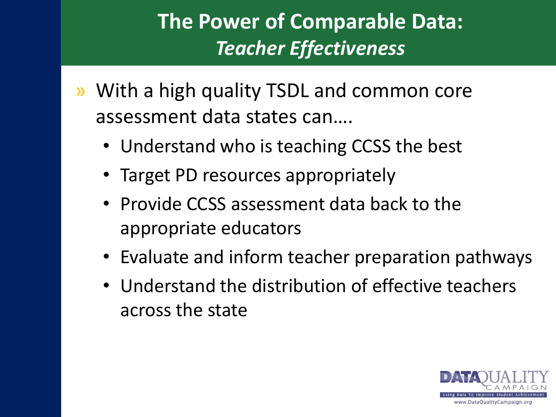### **The Power of Comparable Data:** *Teacher Effectiveness*

- » With a high quality TSDL and common core assessment data states can….
	- Understand who is teaching CCSS the best
	- Target PD resources appropriately
	- Provide CCSS assessment data back to the appropriate educators
	- Evaluate and inform teacher preparation pathways
	- Understand the distribution of effective teachers across the state

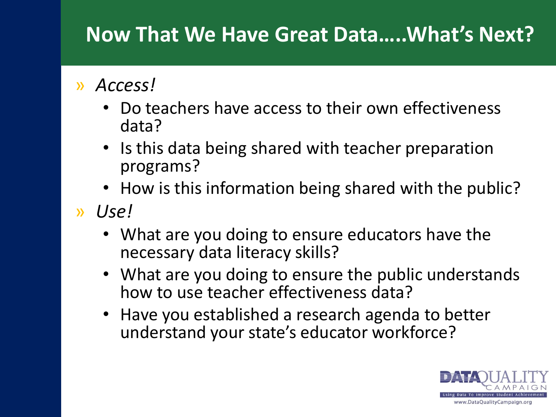### **Now That We Have Great Data…..What's Next?**

### » *Access!*

- Do teachers have access to their own effectiveness data?
- Is this data being shared with teacher preparation programs?
- How is this information being shared with the public?
- » *Use!*
	- What are you doing to ensure educators have the necessary data literacy skills?
	- What are you doing to ensure the public understands how to use teacher effectiveness data?
	- Have you established a research agenda to better understand your state's educator workforce?